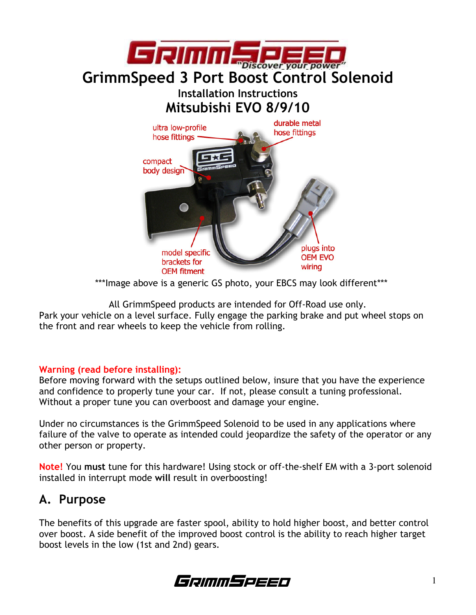

\*\*\*Image above is a generic GS photo, your EBCS may look different\*\*\*

All GrimmSpeed products are intended for Off-Road use only.

Park your vehicle on a level surface. Fully engage the parking brake and put wheel stops on the front and rear wheels to keep the vehicle from rolling.

#### Warning (read before installing):

Before moving forward with the setups outlined below, insure that you have the experience and confidence to properly tune your car. If not, please consult a tuning professional. Without a proper tune you can overboost and damage your engine.

Under no circumstances is the GrimmSpeed Solenoid to be used in any applications where failure of the valve to operate as intended could jeopardize the safety of the operator or any other person or property.

Note! You must tune for this hardware! Using stock or off-the-shelf EM with a 3-port solenoid installed in interrupt mode will result in overboosting!

### A. Purpose

The benefits of this upgrade are faster spool, ability to hold higher boost, and better control over boost. A side benefit of the improved boost control is the ability to reach higher target boost levels in the low (1st and 2nd) gears.

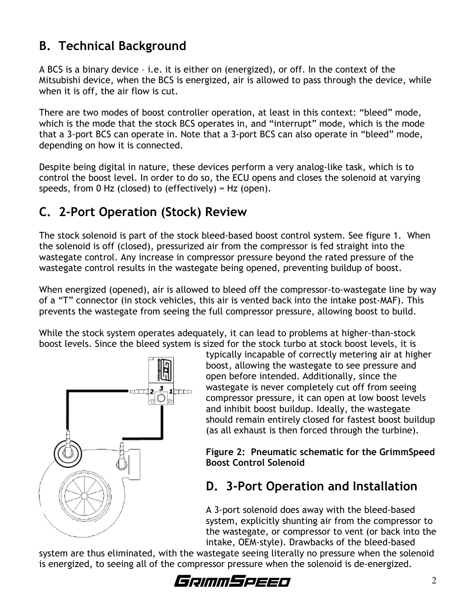# B. Technical Background

A BCS is a binary device – i.e. it is either on (energized), or off. In the context of the Mitsubishi device, when the BCS is energized, air is allowed to pass through the device, while when it is off, the air flow is cut.

There are two modes of boost controller operation, at least in this context: "bleed" mode, which is the mode that the stock BCS operates in, and "interrupt" mode, which is the mode that a 3-port BCS can operate in. Note that a 3-port BCS can also operate in "bleed" mode, depending on how it is connected.

Despite being digital in nature, these devices perform a very analog-like task, which is to control the boost level. In order to do so, the ECU opens and closes the solenoid at varying speeds, from 0 Hz (closed) to (effectively)  $~\approx$  Hz (open).

# C. 2-Port Operation (Stock) Review

The stock solenoid is part of the stock bleed-based boost control system. See figure 1. When the solenoid is off (closed), pressurized air from the compressor is fed straight into the wastegate control. Any increase in compressor pressure beyond the rated pressure of the wastegate control results in the wastegate being opened, preventing buildup of boost.

When energized (opened), air is allowed to bleed off the compressor-to-wastegate line by way of a "T" connector (in stock vehicles, this air is vented back into the intake post-MAF). This prevents the wastegate from seeing the full compressor pressure, allowing boost to build.

While the stock system operates adequately, it can lead to problems at higher-than-stock boost levels. Since the bleed system is sized for the stock turbo at stock boost levels, it is



typically incapable of correctly metering air at higher boost, allowing the wastegate to see pressure and open before intended. Additionally, since the wastegate is never completely cut off from seeing compressor pressure, it can open at low boost levels and inhibit boost buildup. Ideally, the wastegate should remain entirely closed for fastest boost buildup (as all exhaust is then forced through the turbine).

Figure 2: Pneumatic schematic for the GrimmSpeed Boost Control Solenoid

# D. 3-Port Operation and Installation

A 3-port solenoid does away with the bleed-based system, explicitly shunting air from the compressor to the wastegate, or compressor to vent (or back into the intake, OEM-style). Drawbacks of the bleed-based

system are thus eliminated, with the wastegate seeing literally no pressure when the solenoid is energized, to seeing all of the compressor pressure when the solenoid is de-energized.

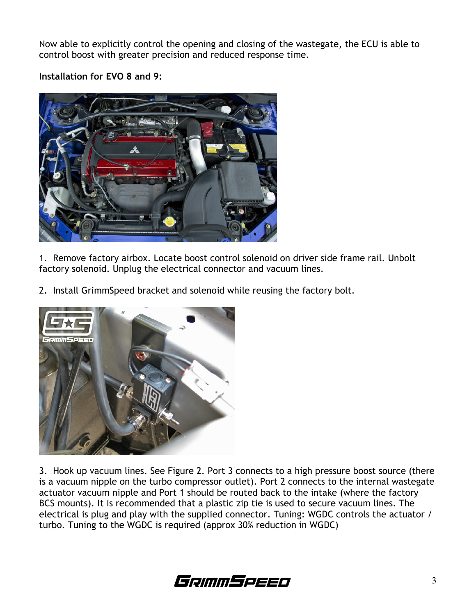Now able to explicitly control the opening and closing of the wastegate, the ECU is able to control boost with greater precision and reduced response time.

Installation for EVO 8 and 9:



1. Remove factory airbox. Locate boost control solenoid on driver side frame rail. Unbolt factory solenoid. Unplug the electrical connector and vacuum lines.

2. Install GrimmSpeed bracket and solenoid while reusing the factory bolt.



3. Hook up vacuum lines. See Figure 2. Port 3 connects to a high pressure boost source (there is a vacuum nipple on the turbo compressor outlet). Port 2 connects to the internal wastegate actuator vacuum nipple and Port 1 should be routed back to the intake (where the factory BCS mounts). It is recommended that a plastic zip tie is used to secure vacuum lines. The electrical is plug and play with the supplied connector. Tuning: WGDC controls the actuator / turbo. Tuning to the WGDC is required (approx 30% reduction in WGDC)

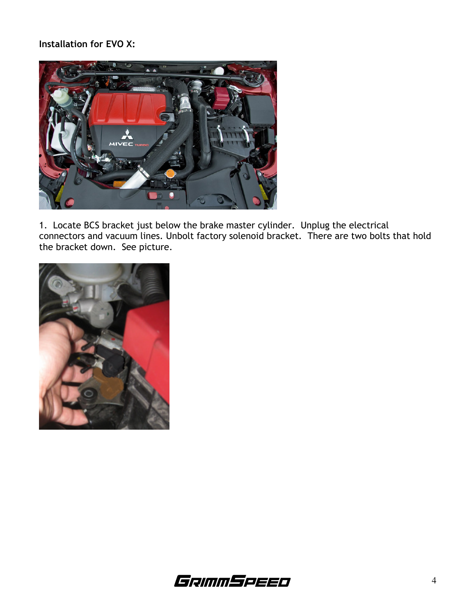#### Installation for EVO X:



1. Locate BCS bracket just below the brake master cylinder. Unplug the electrical connectors and vacuum lines. Unbolt factory solenoid bracket. There are two bolts that hold the bracket down. See picture.



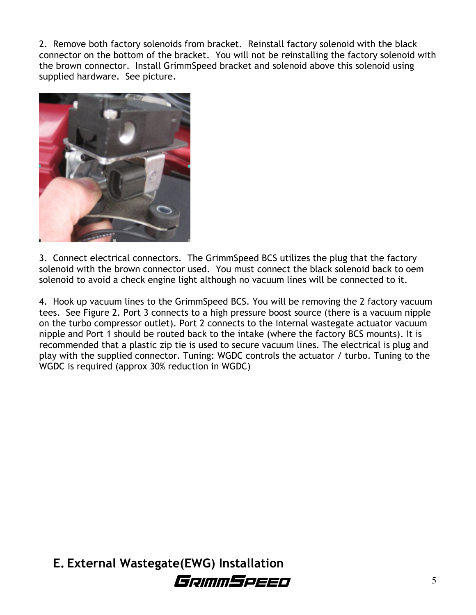2. Remove both factory solenoids from bracket. Reinstall factory solenoid with the black connector on the bottom of the bracket. You will not be reinstalling the factory solenoid with the brown connector. Install GrimmSpeed bracket and solenoid above this solenoid using supplied hardware. See picture.



3. Connect electrical connectors. The GrimmSpeed BCS utilizes the plug that the factory solenoid with the brown connector used. You must connect the black solenoid back to oem solenoid to avoid a check engine light although no vacuum lines will be connected to it.

4. Hook up vacuum lines to the GrimmSpeed BCS. You will be removing the 2 factory vacuum tees. See Figure 2. Port 3 connects to a high pressure boost source (there is a vacuum nipple on the turbo compressor outlet). Port 2 connects to the internal wastegate actuator vacuum nipple and Port 1 should be routed back to the intake (where the factory BCS mounts). It is recommended that a plastic zip tie is used to secure vacuum lines. The electrical is plug and play with the supplied connector. Tuning: WGDC controls the actuator / turbo. Tuning to the WGDC is required (approx 30% reduction in WGDC)

E. External Wastegate(EWG) Installation